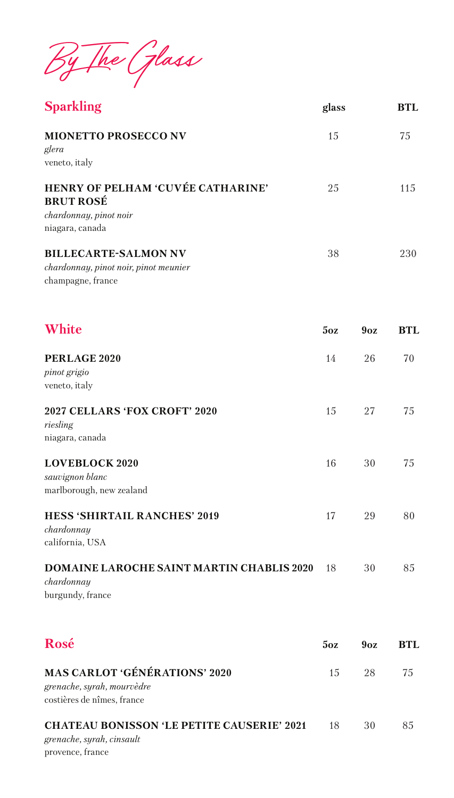By The Glass

| <b>Sparkling</b>                                                                                   | glass |     | <b>BTL</b> |
|----------------------------------------------------------------------------------------------------|-------|-----|------------|
| <b>MIONETTO PROSECCO NV</b><br>glera<br>veneto, italy                                              | 15    |     | 75         |
| HENRY OF PELHAM 'CUVÉE CATHARINE'<br><b>BRUT ROSÉ</b><br>chardonnay, pinot noir<br>niagara, canada | 25    |     | 115        |
| <b>BILLECARTE-SALMON NV</b><br>chardonnay, pinot noir, pinot meunier<br>champagne, france          | 38    |     | 230        |
| <b>White</b>                                                                                       | 50z   | 9oz | <b>BTL</b> |
| PERLAGE 2020<br>pinot grigio<br>veneto, italy                                                      | 14    | 26  | 70         |
| <b>2027 CELLARS 'FOX CROFT' 2020</b><br>riesling<br>niagara, canada                                | 15    | 27  | 75         |
| <b>LOVEBLOCK 2020</b><br>sauvignon blanc<br>marlborough, new zealand                               | 16    | 30  | 75         |
| <b>HESS 'SHIRTAIL RANCHES' 2019</b><br>chardonnay<br>california, USA                               | 17    | 29  | 80         |
| <b>DOMAINE LAROCHE SAINT MARTIN CHABLIS 2020</b><br>chardonnay<br>burgundy, france                 | 18    | 30  | 85         |
| Rosé                                                                                               | 5oz   | 9oz | <b>BTL</b> |
| <b>MAS CARLOT 'GÉNÉRATIONS' 2020</b><br>grenache, syrah, mourvèdre<br>costières de nîmes, france   | 15    | 28  | 75         |
| <b>CHATEAU BONISSON 'LE PETITE CAUSERIE' 2021</b><br>grenache, syrah, cinsault<br>provence, france | 18    | 30  | 85         |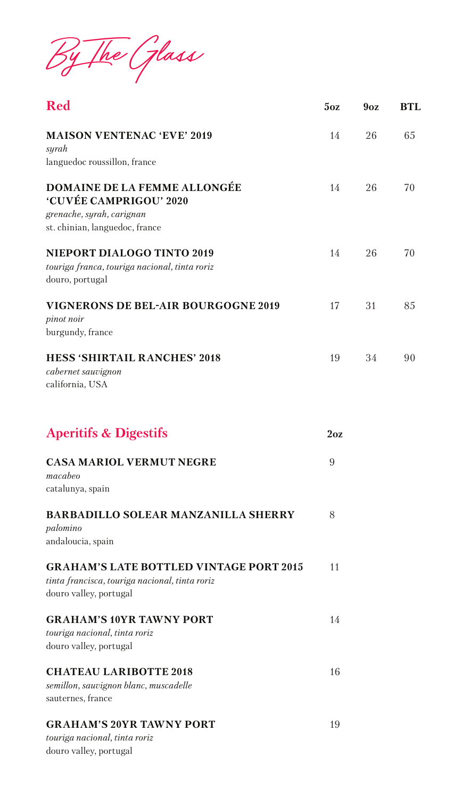By The Glass

| Red                                                                                                                        | 50z | 9oz | <b>BTL</b> |
|----------------------------------------------------------------------------------------------------------------------------|-----|-----|------------|
| <b>MAISON VENTENAC 'EVE' 2019</b><br>syrah                                                                                 | 14  | 26  | 65         |
| languedoc roussillon, france                                                                                               |     |     |            |
| DOMAINE DE LA FEMME ALLONGÉE<br>'CUVÉE CAMPRIGOU' 2020<br>grenache, syrah, carignan<br>st. chinian, languedoc, france      | 14  | 26  | 70         |
| <b>NIEPORT DIALOGO TINTO 2019</b><br>touriga franca, touriga nacional, tinta roriz<br>douro, portugal                      | 14  | 26  | 70         |
| <b>VIGNERONS DE BEL-AIR BOURGOGNE 2019</b><br>pinot noir<br>burgundy, france                                               | 17  | 31  | 85         |
| <b>HESS 'SHIRTAIL RANCHES' 2018</b><br>cabernet sauvignon<br>california, USA                                               | 19  | 34  | 90         |
| <b>Aperitifs &amp; Digestifs</b>                                                                                           | 2oz |     |            |
| <b>CASA MARIOL VERMUT NEGRE</b><br>macabeo<br>catalunya, spain                                                             | 9   |     |            |
| <b>BARBADILLO SOLEAR MANZANILLA SHERRY</b><br>palomino<br>andaloucia, spain                                                | 8   |     |            |
| <b>GRAHAM'S LATE BOTTLED VINTAGE PORT 2015</b><br>tinta francisca, touriga nacional, tinta roriz<br>douro valley, portugal | 11  |     |            |
| <b>GRAHAM'S 10YR TAWNY PORT</b><br>touriga nacional, tinta roriz<br>douro valley, portugal                                 | 14  |     |            |
| <b>CHATEAU LARIBOTTE 2018</b><br>semillon, sauvignon blanc, muscadelle<br>sauternes, france                                | 16  |     |            |
| <b>GRAHAM'S 20YR TAWNY PORT</b><br>touriga nacional, tinta roriz<br>douro valley, portugal                                 | 19  |     |            |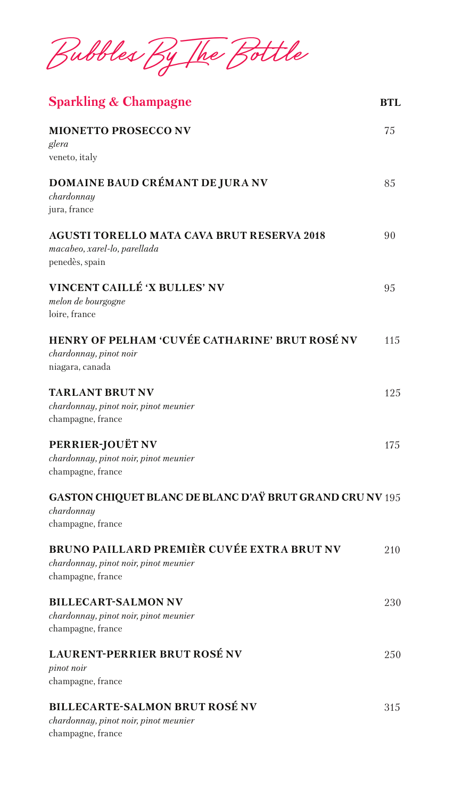Bubbles By The Bottle

| <b>Sparkling &amp; Champagne</b>                                                                                | <b>BTL</b> |
|-----------------------------------------------------------------------------------------------------------------|------------|
| <b>MIONETTO PROSECCO NV</b><br>glera<br>veneto, italy                                                           | 75         |
| DOMAINE BAUD CRÉMANT DE JURA NV<br>chardonnay<br>jura, france                                                   | 85         |
| <b>AGUSTI TORELLO MATA CAVA BRUT RESERVA 2018</b><br>macabeo, xarel-lo, parellada<br>penedès, spain             | 90         |
| <b>VINCENT CAILLÉ 'X BULLES' NV</b><br>melon de bourgogne<br>loire, france                                      | 95         |
| HENRY OF PELHAM 'CUVÉE CATHARINE' BRUT ROSÉ NV<br>chardonnay, pinot noir<br>niagara, canada                     | 115        |
| <b>TARLANT BRUT NV</b><br>chardonnay, pinot noir, pinot meunier<br>champagne, france                            | 125        |
| PERRIER-JOUËT NV<br>chardonnay, pinot noir, pinot meunier<br>champagne, france                                  | 175        |
| <b>GASTON CHIQUET BLANC DE BLANC D'AŸ BRUT GRAND CRU NV 195</b><br>chardonnay<br>champagne, france              |            |
| <b>BRUNO PAILLARD PREMIÈR CUVÉE EXTRA BRUT NV</b><br>chardonnay, pinot noir, pinot meunier<br>champagne, france | 210        |
| <b>BILLECART-SALMON NV</b><br>chardonnay, pinot noir, pinot meunier<br>champagne, france                        | 230        |
| LAURENT-PERRIER BRUT ROSÉ NV<br>pinot noir<br>champagne, france                                                 | 250        |
| BILLECARTE-SALMON BRUT ROSÉ NV<br>chardonnay, pinot noir, pinot meunier<br>champagne, france                    | 315        |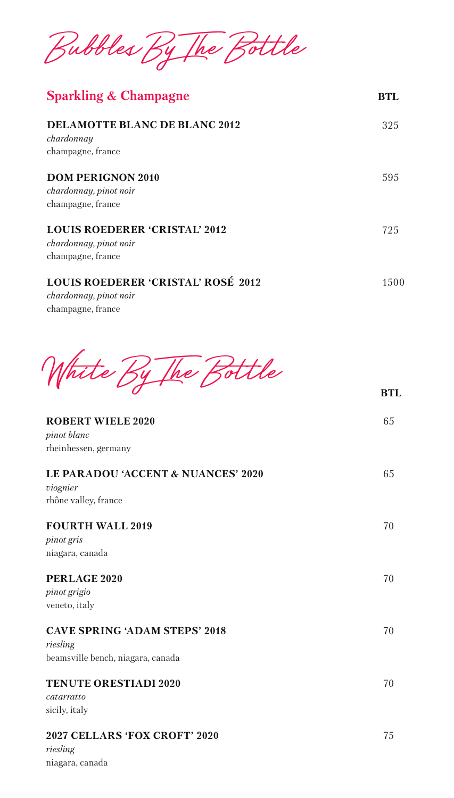BubblesBy The Bottle

| <b>Sparkling &amp; Champagne</b>          | BTL  |
|-------------------------------------------|------|
| <b>DELAMOTTE BLANC DE BLANC 2012</b>      | 325  |
| chardonnay                                |      |
| champagne, france                         |      |
| <b>DOM PERIGNON 2010</b>                  | 595  |
| chardonnay, pinot noir                    |      |
| champagne, france                         |      |
| <b>LOUIS ROEDERER 'CRISTAL' 2012</b>      | 725  |
| chardonnay, pinot noir                    |      |
| champagne, france                         |      |
| <b>LOUIS ROEDERER 'CRISTAL' ROSÉ 2012</b> | 1500 |
| chardonnay, pinot noir                    |      |
| champagne, france                         |      |

White By The Bottle

**ROBERT WIELE 2020**  *pinot blanc* rheinhessen, germany **LE PARADOU 'ACCENT & NUANCES' 2020**  *viognier* rhône valley, france **FOURTH WALL 2019**  *pinot gris* niagara, canada **PERLAGE 2020** *pinot grigio* veneto, italy **CAVE SPRING 'ADAM STEPS' 2018**  *riesling* beamsville bench, niagara, canada **TENUTE ORESTIADI 2020**  *catarratto* sicily, italy **2027 CELLARS 'FOX CROFT' 2020**  65 65 70 70 70 70 75

*riesling* niagara, canada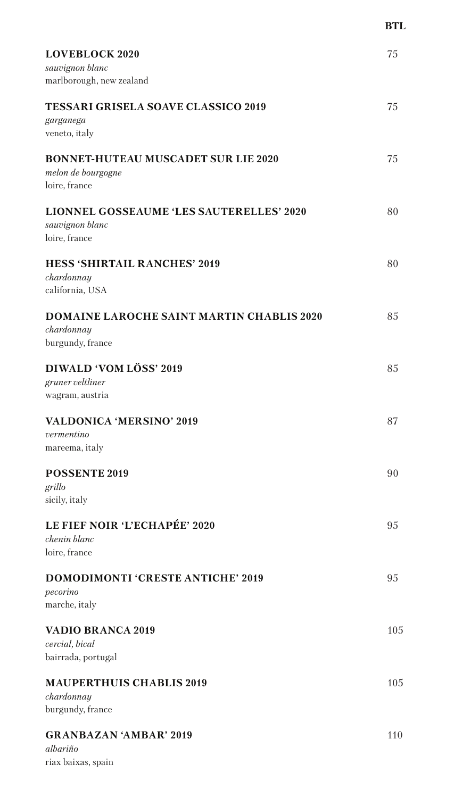| <b>LOVEBLOCK 2020</b><br>sauvignon blanc<br>marlborough, new zealand                | 75  |
|-------------------------------------------------------------------------------------|-----|
| <b>TESSARI GRISELA SOAVE CLASSICO 2019</b><br>garganega<br>veneto, italy            | 75  |
| <b>BONNET-HUTEAU MUSCADET SUR LIE 2020</b><br>melon de bourgogne<br>loire, france   | 75  |
| <b>LIONNEL GOSSEAUME 'LES SAUTERELLES' 2020</b><br>sauvignon blanc<br>loire, france | 80  |
| <b>HESS 'SHIRTAIL RANCHES' 2019</b><br>chardonnay<br>california, USA                | 80  |
| <b>DOMAINE LAROCHE SAINT MARTIN CHABLIS 2020</b><br>chardonnay<br>burgundy, france  | 85  |
| DIWALD 'VOM LÖSS' 2019<br>gruner veltliner<br>wagram, austria                       | 85  |
| <b>VALDONICA 'MERSINO' 2019</b><br>vermentino<br>mareema, italy                     | 87  |
| <b>POSSENTE 2019</b><br>grillo<br>sicily, italy                                     | 90  |
| LE FIEF NOIR 'L'ECHAPÉE' 2020<br>chenin blanc<br>loire, france                      | 95  |
| <b>DOMODIMONTI 'CRESTE ANTICHE' 2019</b><br>pecorino<br>marche, italy               | 95  |
| <b>VADIO BRANCA 2019</b><br>cercial, bical<br>bairrada, portugal                    | 105 |
| <b>MAUPERTHUIS CHABLIS 2019</b><br>chardonnay<br>burgundy, france                   | 105 |
| <b>GRANBAZAN 'AMBAR' 2019</b><br>albariño<br>riax baixas, spain                     | 110 |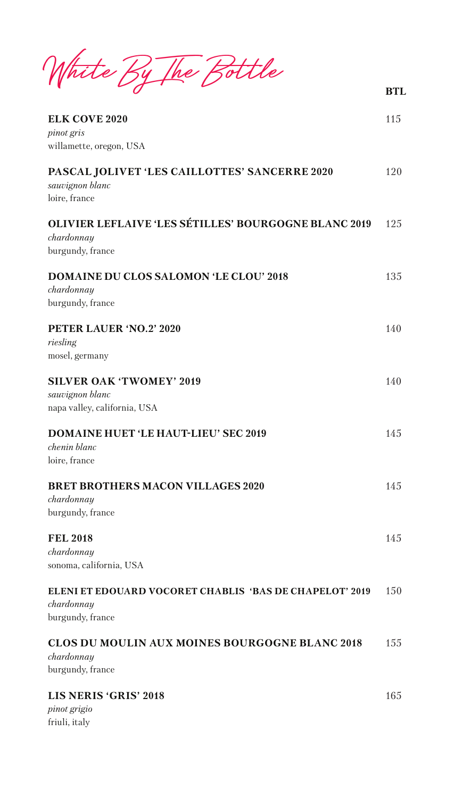White By The Bottle

**ELK COVE 2020** *pinot gris* willamette, oregon, USA **PASCAL JOLIVET 'LES CAILLOTTES' SANCERRE 2020**  *sauvignon blanc* loire, france **OLIVIER LEFLAIVE 'LES SÉTILLES' BOURGOGNE BLANC 2019**  *chardonnay* burgundy, france **DOMAINE DU CLOS SALOMON 'LE CLOU' 2018**  *chardonnay* burgundy, france **PETER LAUER 'NO.2' 2020**  *riesling* mosel, germany **SILVER OAK 'TWOMEY' 2019**  *sauvignon blanc* napa valley, california, USA **DOMAINE HUET 'LE HAUTLIEU' SEC 2019**  *chenin blanc* loire, france **BRET BROTHERS MACON VILLAGES 2020**  *chardonnay* burgundy, france **FEL 2018** *chardonnay* sonoma, california, USA **ELENI ET EDOUARD VOCORET CHABLIS 'BAS DE CHAPELOT' 2019** *chardonnay* burgundy, france **CLOS DU MOULIN AUX MOINES BOURGOGNE BLANC 2018**  *chardonnay* burgundy, france **LIS NERIS 'GRIS' 2018**  115 120 125 135 140 140 145 145 145 150 155 165

*pinot grigio* friuli, italy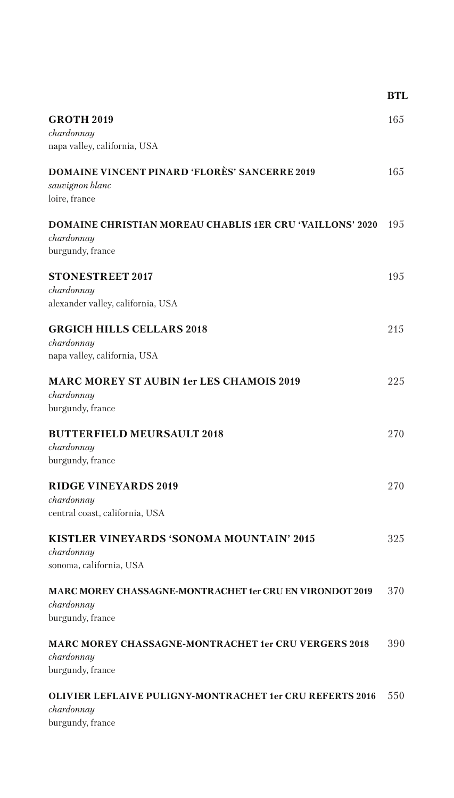|                                                                                                   | <b>BTL</b> |
|---------------------------------------------------------------------------------------------------|------------|
| <b>GROTH 2019</b>                                                                                 | 165        |
| chardonnay<br>napa valley, california, USA                                                        |            |
|                                                                                                   |            |
| <b>DOMAINE VINCENT PINARD 'FLORÈS' SANCERRE 2019</b><br>sauvignon blanc<br>loire, france          | 165        |
| <b>DOMAINE CHRISTIAN MOREAU CHABLIS 1ER CRU 'VAILLONS' 2020</b><br>chardonnay<br>burgundy, france | 195        |
| <b>STONESTREET 2017</b>                                                                           | 195        |
| chardonnay<br>alexander valley, california, USA                                                   |            |
| <b>GRGICH HILLS CELLARS 2018</b><br>chardonnay<br>napa valley, california, USA                    | 215        |
| <b>MARC MOREY ST AUBIN 1er LES CHAMOIS 2019</b><br>chardonnay<br>burgundy, france                 | 225        |
| <b>BUTTERFIELD MEURSAULT 2018</b><br>chardonnay<br>burgundy, france                               | 270        |
| <b>RIDGE VINEYARDS 2019</b><br>chardonnay<br>central coast, california, USA                       | 270        |
| KISTLER VINEYARDS 'SONOMA MOUNTAIN' 2015<br>chardonnay<br>sonoma, california, USA                 | 325        |
| <b>MARC MOREY CHASSAGNE-MONTRACHET 1er CRU EN VIRONDOT 2019</b><br>chardonnay<br>burgundy, france | 370        |
| <b>MARC MOREY CHASSAGNE-MONTRACHET 1er CRU VERGERS 2018</b><br>chardonnay<br>burgundy, france     | 390        |
| <b>OLIVIER LEFLAIVE PULIGNY-MONTRACHET 1er CRU REFERTS 2016</b><br>chardonnay<br>burgundy, france | 550        |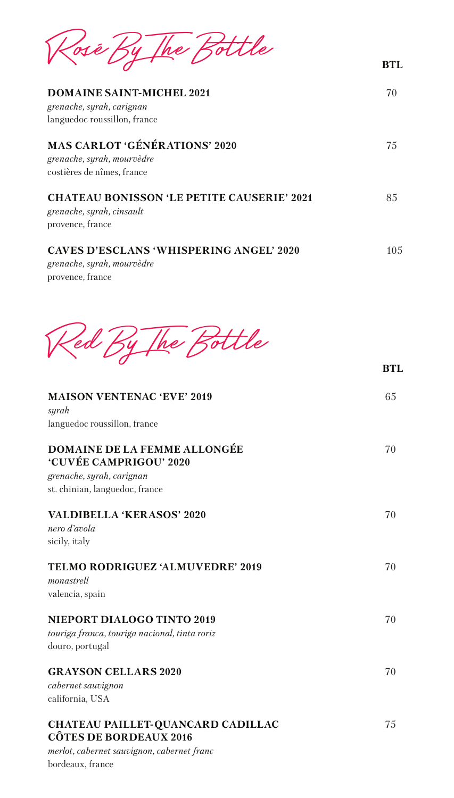| $\mu$ e                                                                                                               | <b>BTL</b> |
|-----------------------------------------------------------------------------------------------------------------------|------------|
| <b>DOMAINE SAINT-MICHEL 2021</b><br>grenache, syrah, carignan<br>languedoc roussillon, france                         | 70         |
| <b>MAS CARLOT 'GÉNÉRATIONS' 2020</b><br>grenache, syrah, mourvèdre<br>costières de nîmes, france                      | 75         |
| <b>CHATEAU BONISSON 'LE PETITE CAUSERIE' 2021</b><br>grenache, syrah, cinsault<br>provence, france                    | 85         |
| <b>CAVES D'ESCLANS 'WHISPERING ANGEL' 2020</b><br>grenache, syrah, mourvèdre<br>provence, france                      | 105        |
| 'he 1                                                                                                                 | <b>BTL</b> |
| <b>MAISON VENTENAC 'EVE' 2019</b><br>syrah<br>languedoc roussillon, france                                            | 65         |
| DOMAINE DE LA FEMME ALLONGÉE<br>'CUVÉE CAMPRIGOU' 2020<br>grenache, syrah, carignan<br>st. chinian, languedoc, france | 70         |
| <b>VALDIBELLA 'KERASOS' 2020</b><br>nero d'avola<br>sicily, italy                                                     | 70         |

**TELMO RODRIGUEZ 'ALMUVEDRE' 2019** *monastrell*

70

70

70

75

valencia, spain

#### **NIEPORT DIALOGO TINTO 2019**

*touriga franca, touriga nacional, tinta roriz* douro, portugal

#### **GRAYSON CELLARS 2020**

*cabernet sauvignon* california, USA

#### **CHATEAU PAILLET-QUANCARD CADILLAC CÔTES DE BORDEAUX 2016**

*merlot, cabernet sauvignon, cabernet franc* bordeaux, france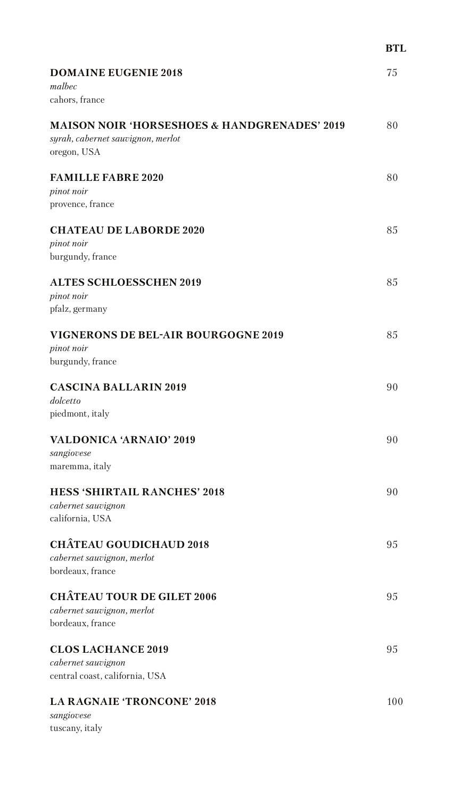|                                                                                                             | <b>BTL</b> |
|-------------------------------------------------------------------------------------------------------------|------------|
| <b>DOMAINE EUGENIE 2018</b><br>malbec<br>cahors, france                                                     | 75         |
| <b>MAISON NOIR 'HORSESHOES &amp; HANDGRENADES' 2019</b><br>syrah, cabernet sauvignon, merlot<br>oregon, USA | 80         |
| <b>FAMILLE FABRE 2020</b><br>pinot noir<br>provence, france                                                 | 80         |
| <b>CHATEAU DE LABORDE 2020</b><br>pinot noir<br>burgundy, france                                            | 85         |
| <b>ALTES SCHLOESSCHEN 2019</b><br>pinot noir<br>pfalz, germany                                              | 85         |
| <b>VIGNERONS DE BEL-AIR BOURGOGNE 2019</b><br>pinot noir<br>burgundy, france                                | 85         |
| <b>CASCINA BALLARIN 2019</b><br>dolcetto<br>piedmont, italy                                                 | 90         |
| <b>VALDONICA 'ARNAIO' 2019</b><br>sangiovese<br>maremma, italy                                              | 90         |
| <b>HESS 'SHIRTAIL RANCHES' 2018</b><br>cabernet sauvignon<br>california, USA                                | 90         |
| <b>CHÂTEAU GOUDICHAUD 2018</b><br>cabernet sauvignon, merlot<br>bordeaux, france                            | 95         |
| <b>CHÂTEAU TOUR DE GILET 2006</b><br>cabernet sauvignon, merlot<br>bordeaux, france                         | 95         |
| <b>CLOS LACHANCE 2019</b><br>cabernet sauvignon<br>central coast, california, USA                           | 95         |
| <b>LA RAGNAIE 'TRONCONE' 2018</b><br>sangiovese<br>tuscany, italy                                           | 100        |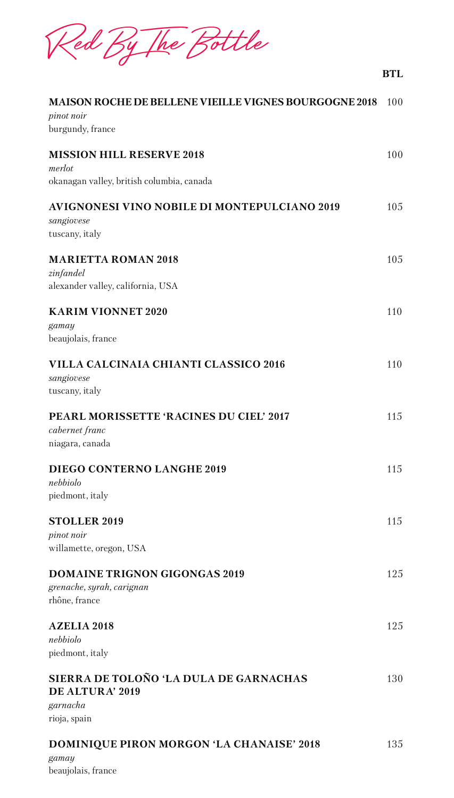Red By The Bottle

| <b>MAISON ROCHE DE BELLENE VIEILLE VIGNES BOURGOGNE 2018</b><br>pinot noir<br>burgundy, france | 100 |
|------------------------------------------------------------------------------------------------|-----|
| <b>MISSION HILL RESERVE 2018</b><br>merlot                                                     | 100 |
| okanagan valley, british columbia, canada                                                      |     |
| <b>AVIGNONESI VINO NOBILE DI MONTEPULCIANO 2019</b><br>sangiovese<br>tuscany, italy            | 105 |
| <b>MARIETTA ROMAN 2018</b>                                                                     | 105 |
| zinfandel<br>alexander valley, california, USA                                                 |     |
| <b>KARIM VIONNET 2020</b><br>gamay                                                             | 110 |
| beaujolais, france                                                                             |     |
| VILLA CALCINAIA CHIANTI CLASSICO 2016<br>sangiovese<br>tuscany, italy                          | 110 |
| PEARL MORISSETTE 'RACINES DU CIEL' 2017<br>cabernet franc<br>niagara, canada                   | 115 |
| <b>DIEGO CONTERNO LANGHE 2019</b><br>nebbiolo<br>piedmont, italy                               | 115 |
| <b>STOLLER 2019</b><br><i>pinot noir</i><br>willamette, oregon, USA                            | 115 |
| <b>DOMAINE TRIGNON GIGONGAS 2019</b><br>grenache, syrah, carignan<br>rhône, france             | 125 |
| <b>AZELIA 2018</b><br>$nebbi$ olo<br>piedmont, italy                                           | 125 |
| SIERRA DE TOLOÑO 'LA DULA DE GARNACHAS<br>DE ALTURA' 2019<br>garnacha<br>rioja, spain          | 130 |
| DOMINIQUE PIRON MORGON 'LA CHANAISE' 2018<br>gamay<br>beaujolais, france                       | 135 |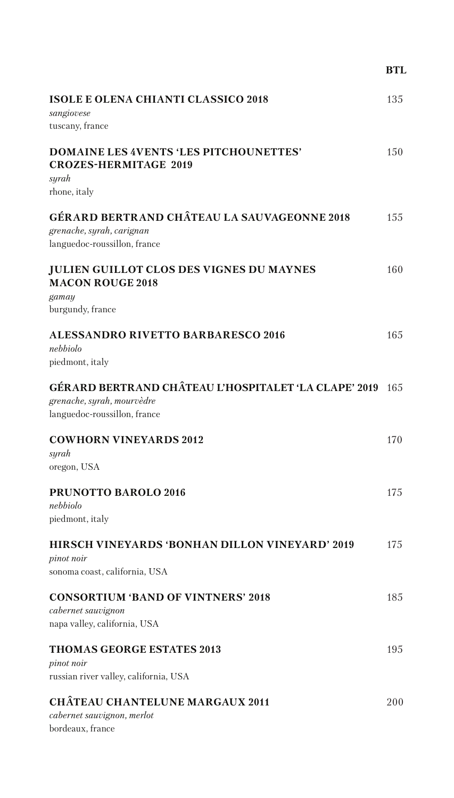| <b>ISOLE E OLENA CHIANTI CLASSICO 2018</b><br>sangiovese<br>tuscany, france                                        | 135 |
|--------------------------------------------------------------------------------------------------------------------|-----|
| <b>DOMAINE LES 4VENTS 'LES PITCHOUNETTES'</b><br><b>CROZES-HERMITAGE 2019</b><br>syrah<br>rhone, italy             | 150 |
| <b>GÉRARD BERTRAND CHÂTEAU LA SAUVAGEONNE 2018</b><br>grenache, syrah, carignan<br>languedoc-roussillon, france    | 155 |
| <b>JULIEN GUILLOT CLOS DES VIGNES DU MAYNES</b><br><b>MACON ROUGE 2018</b><br>gamay<br>burgundy, france            | 160 |
| <b>ALESSANDRO RIVETTO BARBARESCO 2016</b><br>$nebbi$ olo<br>piedmont, italy                                        | 165 |
| GÉRARD BERTRAND CHÂTEAU L'HOSPITALET 'LA CLAPE' 2019<br>grenache, syrah, mourvèdre<br>languedoc-roussillon, france | 165 |
| <b>COWHORN VINEYARDS 2012</b><br>syrah<br>oregon, USA                                                              | 170 |
| PRUNOTTO BAROLO 2016<br>$nebbi$ olo<br>piedmont, italy                                                             | 175 |
| HIRSCH VINEYARDS 'BONHAN DILLON VINEYARD' 2019<br>pinot noir<br>sonoma coast, california, USA                      | 175 |
| <b>CONSORTIUM 'BAND OF VINTNERS' 2018</b><br>cabernet sauvignon<br>napa valley, california, USA                    | 185 |
| <b>THOMAS GEORGE ESTATES 2013</b><br>pinot noir<br>russian river valley, california, USA                           | 195 |
| <b>CHÂTEAU CHANTELUNE MARGAUX 2011</b><br>cabernet sauvignon, merlot<br>bordeaux, france                           | 200 |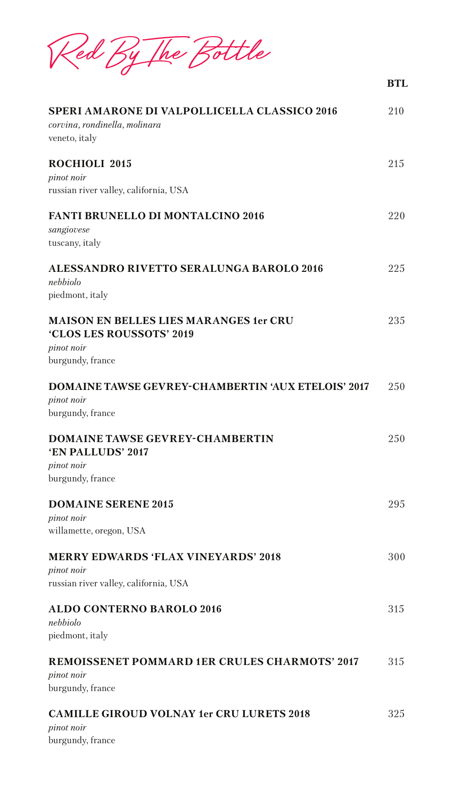

| <b>SPERI AMARONE DI VALPOLLICELLA CLASSICO 2016</b><br>corvina, rondinella, molinara<br>veneto, italy              | 210 |
|--------------------------------------------------------------------------------------------------------------------|-----|
| ROCHIOLI 2015<br>pinot noir<br>russian river valley, california, USA                                               | 215 |
| <b>FANTI BRUNELLO DI MONTALCINO 2016</b><br>sangiovese<br>tuscany, italy                                           | 220 |
| ALESSANDRO RIVETTO SERALUNGA BAROLO 2016<br>nebbiolo<br>piedmont, italy                                            | 225 |
| <b>MAISON EN BELLES LIES MARANGES 1er CRU</b><br><b>'CLOS LES ROUSSOTS' 2019</b><br>pinot noir<br>burgundy, france | 235 |
| <b>DOMAINE TAWSE GEVREY-CHAMBERTIN 'AUX ETELOIS' 2017</b><br>pinot noir<br>burgundy, france                        | 250 |
| <b>DOMAINE TAWSE GEVREY-CHAMBERTIN</b><br>'EN PALLUDS' 2017<br>pinot noir                                          | 250 |
| burgundy, france<br><b>DOMAINE SERENE 2015</b><br>pinot noir<br>willamette, oregon, USA                            | 295 |
| <b>MERRY EDWARDS 'FLAX VINEYARDS' 2018</b><br><i>pinot noir</i><br>russian river valley, california, USA           | 300 |
| <b>ALDO CONTERNO BAROLO 2016</b><br>nebbiolo<br>piedmont, italy                                                    | 315 |
| <b>REMOISSENET POMMARD 1ER CRULES CHARMOTS' 2017</b><br>pinot noir<br>burgundy, france                             | 315 |
| <b>CAMILLE GIROUD VOLNAY 1er CRU LURETS 2018</b><br>pinot noir<br>burgundy, france                                 | 325 |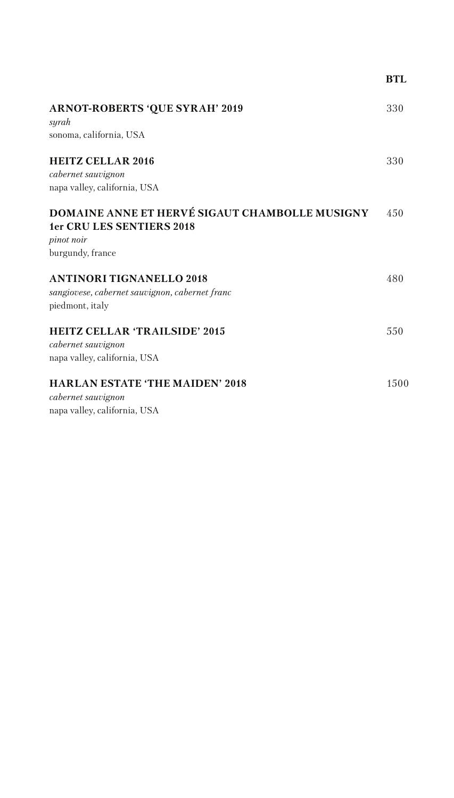|                                                                                           | <b>BTL</b> |
|-------------------------------------------------------------------------------------------|------------|
| <b>ARNOT-ROBERTS 'QUE SYRAH' 2019</b><br>syrah                                            | 330        |
| sonoma, california, USA                                                                   |            |
| <b>HEITZ CELLAR 2016</b>                                                                  | 330        |
| cabernet sauvignon                                                                        |            |
| napa valley, california, USA                                                              |            |
| <b>DOMAINE ANNE ET HERVÉ SIGAUT CHAMBOLLE MUSIGNY</b><br><b>1er CRU LES SENTIERS 2018</b> | 450        |
| <i>pinot noir</i>                                                                         |            |
| burgundy, france                                                                          |            |
| <b>ANTINORI TIGNANELLO 2018</b>                                                           | 480        |
| sangiovese, cabernet sauvignon, cabernet franc                                            |            |
| piedmont, italy                                                                           |            |
| <b>HEITZ CELLAR 'TRAILSIDE' 2015</b>                                                      | 550        |
| cabernet sauvignon                                                                        |            |
| napa valley, california, USA                                                              |            |
| <b>HARLAN ESTATE 'THE MAIDEN' 2018</b>                                                    | 1500       |
| cabernet sauvignon                                                                        |            |
| napa valley, california, USA                                                              |            |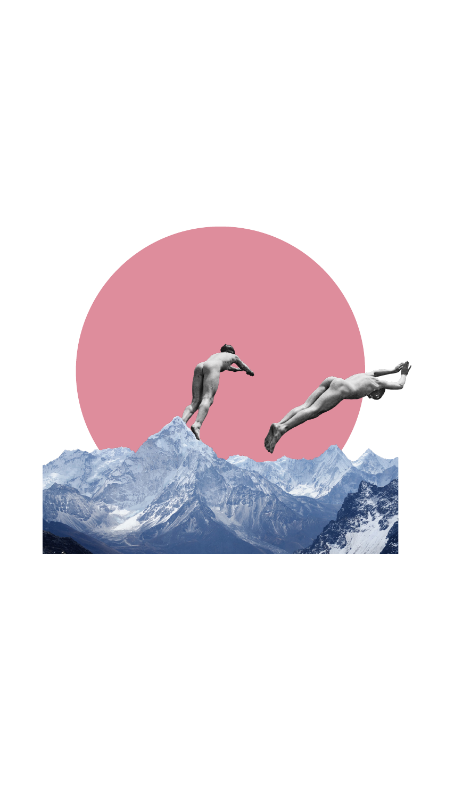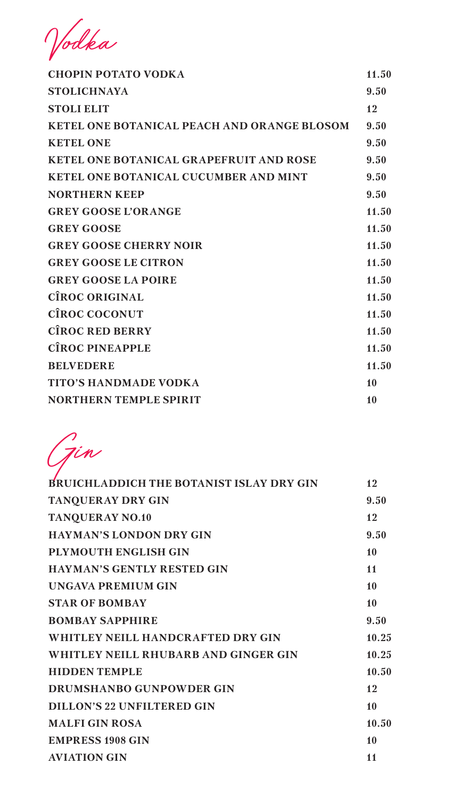Vodka

| <b>CHOPIN POTATO VODKA</b>                         | 11.50 |
|----------------------------------------------------|-------|
| <b>STOLICHNAYA</b>                                 | 9.50  |
| <b>STOLIELIT</b>                                   | 12    |
| <b>KETEL ONE BOTANICAL PEACH AND ORANGE BLOSOM</b> | 9.50  |
| <b>KETEL ONE</b>                                   | 9.50  |
| <b>KETEL ONE BOTANICAL GRAPEFRUIT AND ROSE</b>     | 9.50  |
| <b>KETEL ONE BOTANICAL CUCUMBER AND MINT</b>       | 9.50  |
| <b>NORTHERN KEEP</b>                               | 9.50  |
| <b>GREY GOOSE L'ORANGE</b>                         | 11.50 |
| <b>GREY GOOSE</b>                                  | 11.50 |
| <b>GREY GOOSE CHERRY NOIR</b>                      | 11.50 |
| <b>GREY GOOSE LE CITRON</b>                        | 11.50 |
| <b>GREY GOOSE LA POIRE</b>                         | 11.50 |
| <b>CÎROC ORIGINAL</b>                              | 11.50 |
| <b>CÎROC COCONUT</b>                               | 11.50 |
| <b>CÎROC RED BERRY</b>                             | 11.50 |
| <b>CÎROC PINEAPPLE</b>                             | 11.50 |
| <b>BELVEDERE</b>                                   | 11.50 |
| <b>TITO'S HANDMADE VODKA</b>                       | 10    |
| <b>NORTHERN TEMPLE SPIRIT</b>                      | 10    |

Gin

| <b>BRUICHLADDICH THE BOTANIST ISLAY DRY GIN</b> | 12              |
|-------------------------------------------------|-----------------|
| <b>TANQUERAY DRY GIN</b>                        | 9.50            |
| <b>TANQUERAY NO.10</b>                          | 12              |
| <b>HAYMAN'S LONDON DRY GIN</b>                  | 9.50            |
| <b>PLYMOUTH ENGLISH GIN</b>                     | 10              |
| <b>HAYMAN'S GENTLY RESTED GIN</b>               | 11              |
| <b>UNGAVA PREMIUM GIN</b>                       | 10              |
| <b>STAR OF BOMBAY</b>                           | 10              |
| <b>BOMBAY SAPPHIRE</b>                          | 9.50            |
| WHITLEY NEILL HANDCRAFTED DRY GIN               | 10.25           |
| WHITLEY NEILL RHUBARB AND GINGER GIN            | 10.25           |
| <b>HIDDEN TEMPLE</b>                            | 10.50           |
| <b>DRUMSHANBO GUNPOWDER GIN</b>                 | 12 <sub>2</sub> |
| <b>DILLON'S 22 UNFILTERED GIN</b>               | 10              |
| <b>MALFIGIN ROSA</b>                            | 10.50           |
| <b>EMPRESS 1908 GIN</b>                         | 10              |
| <b>AVIATION GIN</b>                             | 11              |
|                                                 |                 |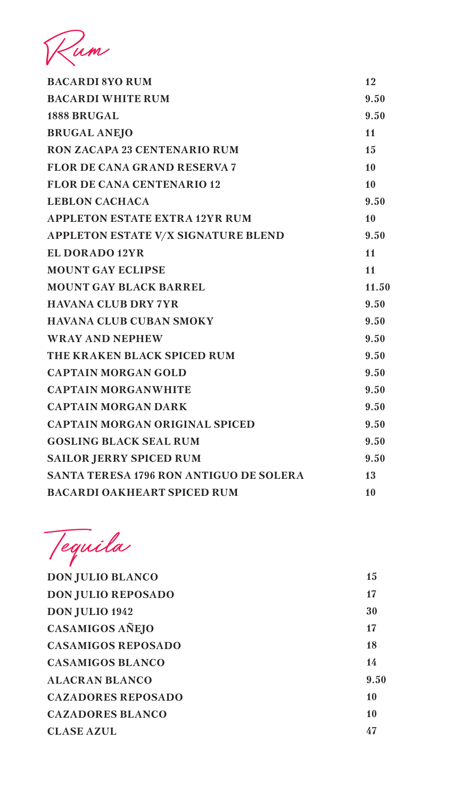Rum

| <b>BACARDI 8YO RUM</b>                         | 12    |
|------------------------------------------------|-------|
| <b>BACARDI WHITE RUM</b>                       | 9.50  |
| <b>1888 BRUGAL</b>                             | 9.50  |
| <b>BRUGAL ANEJO</b>                            | 11    |
| <b>RON ZACAPA 23 CENTENARIO RUM</b>            | 15    |
| <b>FLOR DE CANA GRAND RESERVA 7</b>            | 10    |
| <b>FLOR DE CANA CENTENARIO 12</b>              | 10    |
| <b>LEBLON CACHACA</b>                          | 9.50  |
| <b>APPLETON ESTATE EXTRA 12YR RUM</b>          | 10    |
| APPLETON ESTATE V/X SIGNATURE BLEND            | 9.50  |
| <b>EL DORADO 12YR</b>                          | 11    |
| <b>MOUNT GAY ECLIPSE</b>                       | 11    |
| <b>MOUNT GAY BLACK BARREL</b>                  | 11.50 |
| <b>HAVANA CLUB DRY 7YR</b>                     | 9.50  |
| <b>HAVANA CLUB CUBAN SMOKY</b>                 | 9.50  |
| <b>WRAY AND NEPHEW</b>                         | 9.50  |
| THE KRAKEN BLACK SPICED RUM                    | 9.50  |
| <b>CAPTAIN MORGAN GOLD</b>                     | 9.50  |
| <b>CAPTAIN MORGANWHITE</b>                     | 9.50  |
| <b>CAPTAIN MORGAN DARK</b>                     | 9.50  |
| <b>CAPTAIN MORGAN ORIGINAL SPICED</b>          | 9.50  |
| <b>GOSLING BLACK SEAL RUM</b>                  | 9.50  |
| <b>SAILOR JERRY SPICED RUM</b>                 | 9.50  |
| <b>SANTA TERESA 1796 RON ANTIGUO DE SOLERA</b> | 13    |
| <b>BACARDI OAKHEART SPICED RUM</b>             | 10    |

Tequila

| <b>DON JULIO BLANCO</b>   | 15   |
|---------------------------|------|
| <b>DON JULIO REPOSADO</b> | 17   |
| <b>DON JULIO 1942</b>     | 30   |
| <b>CASAMIGOS AÑEJO</b>    | 17   |
| <b>CASAMIGOS REPOSADO</b> | 18   |
| <b>CASAMIGOS BLANCO</b>   | 14   |
| <b>ALACRAN BLANCO</b>     | 9.50 |
| <b>CAZADORES REPOSADO</b> | 10   |
| <b>CAZADORES BLANCO</b>   | 10   |
| <b>CLASE AZUL</b>         | 47   |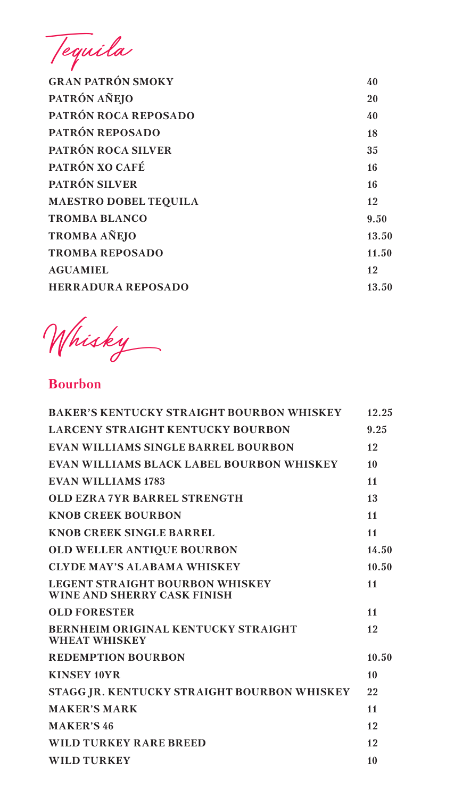Tequila

| <b>GRAN PATRÓN SMOKY</b>     | 40    |
|------------------------------|-------|
| PATRÓN AÑEJO                 | 20    |
| PATRÓN ROCA REPOSADO         | 40    |
| PATRÓN REPOSADO              | 18    |
| PATRÓN ROCA SILVER           | 35    |
| PATRÓN XO CAFÉ               | 16    |
| <b>PATRÓN SILVER</b>         | 16    |
| <b>MAESTRO DOBEL TEQUILA</b> | 12    |
| <b>TROMBA BLANCO</b>         | 9.50  |
| <b>TROMBA AÑEJO</b>          | 13.50 |
| <b>TROMBA REPOSADO</b>       | 11.50 |
| <b>AGUAMIEL</b>              | 12    |
| <b>HERRADURA REPOSADO</b>    | 13.50 |

Whisky

**Bourbon**

| <b>BAKER'S KENTUCKY STRAIGHT BOURBON WHISKEY</b>                      | 12.25 |
|-----------------------------------------------------------------------|-------|
| <b>LARCENY STRAIGHT KENTUCKY BOURBON</b>                              | 9.25  |
| EVAN WILLIAMS SINGLE BARREL BOURBON                                   | 12    |
| <b>EVAN WILLIAMS BLACK LABEL BOURBON WHISKEY</b>                      | 10    |
| <b>EVAN WILLIAMS 1783</b>                                             | 11    |
| <b>OLD EZRA 7YR BARREL STRENGTH</b>                                   | 13    |
| <b>KNOB CREEK BOURBON</b>                                             | 11    |
| <b>KNOB CREEK SINGLE BARREL</b>                                       | 11    |
| <b>OLD WELLER ANTIQUE BOURBON</b>                                     | 14.50 |
| <b>CLYDE MAY'S ALABAMA WHISKEY</b>                                    | 10.50 |
| <b>LEGENT STRAIGHT BOURBON WHISKEY</b><br>WINE AND SHERRY CASK FINISH | 11    |
| <b>OLD FORESTER</b>                                                   | 11    |
| <b>BERNHEIM ORIGINAL KENTUCKY STRAIGHT</b><br><b>WHEAT WHISKEY</b>    | 12    |
| <b>REDEMPTION BOURBON</b>                                             | 10.50 |
| <b>KINSEY 10YR</b>                                                    | 10    |
| STAGG JR. KENTUCKY STRAIGHT BOURBON WHISKEY                           | 22    |
| <b>MAKER'S MARK</b>                                                   | 11    |
| <b>MAKER'S 46</b>                                                     | 12    |
| WILD TURKEY RARE BREED                                                | 12    |
| WILD TURKEY                                                           | 10    |
|                                                                       |       |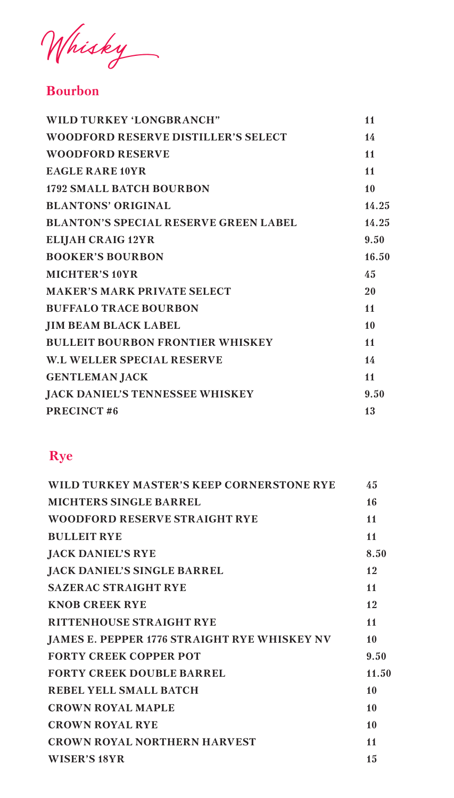Whisky

**Bourbon**

| WILD TURKEY 'LONGBRANCH"                     | 11    |
|----------------------------------------------|-------|
| <b>WOODFORD RESERVE DISTILLER'S SELECT</b>   | 14    |
| <b>WOODFORD RESERVE</b>                      | 11    |
| EAGLE RARE 10YR                              | 11    |
| <b>1792 SMALL BATCH BOURBON</b>              | 10    |
| <b>BLANTONS' ORIGINAL</b>                    | 14.25 |
| <b>BLANTON'S SPECIAL RESERVE GREEN LABEL</b> | 14.25 |
| <b>ELIJAH CRAIG 12YR</b>                     | 9.50  |
| <b>BOOKER'S BOURBON</b>                      | 16.50 |
| <b>MICHTER'S 10YR</b>                        | 45    |
| <b>MAKER'S MARK PRIVATE SELECT</b>           | 20    |
| <b>BUFFALO TRACE BOURBON</b>                 | 11    |
| <b>JIM BEAM BLACK LABEL</b>                  | 10    |
| <b>BULLEIT BOURBON FRONTIER WHISKEY</b>      | 11    |
| <b>W.L WELLER SPECIAL RESERVE</b>            | 14    |
| <b>GENTLEMAN JACK</b>                        | 11    |
| <b>JACK DANIEL'S TENNESSEE WHISKEY</b>       | 9.50  |
| <b>PRECINCT#6</b>                            | 13    |

### **Rye**

| WILD TURKEY MASTER'S KEEP CORNERSTONE RYE    | 45    |
|----------------------------------------------|-------|
| <b>MICHTERS SINGLE BARREL</b>                | 16    |
| <b>WOODFORD RESERVE STRAIGHT RYE</b>         | 11    |
| <b>BULLEIT RYE</b>                           | 11    |
| <b>JACK DANIEL'S RYE</b>                     | 8.50  |
| <b>JACK DANIEL'S SINGLE BARREL</b>           | 12    |
| <b>SAZERAC STRAIGHT RYE</b>                  | 11    |
| <b>KNOB CREEK RYE</b>                        | 12    |
| <b>RITTENHOUSE STRAIGHT RYE</b>              | 11    |
| JAMES E. PEPPER 1776 STRAIGHT RYE WHISKEY NV | 10    |
| <b>FORTY CREEK COPPER POT</b>                | 9.50  |
| <b>FORTY CREEK DOUBLE BARREL</b>             | 11.50 |
| <b>REBEL YELL SMALL BATCH</b>                | 10    |
| <b>CROWN ROYAL MAPLE</b>                     | 10    |
| <b>CROWN ROYAL RYE</b>                       | 10    |
| <b>CROWN ROYAL NORTHERN HARVEST</b>          | 11    |
| WISER'S 18YR                                 | 15    |
|                                              |       |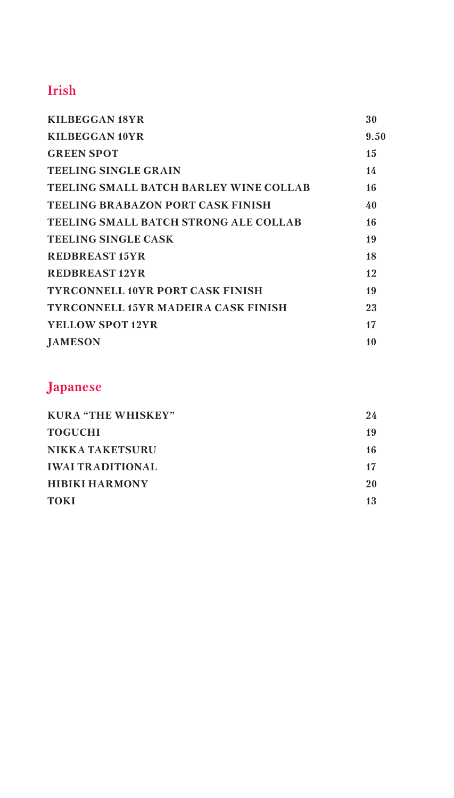### **Irish**

| KILBEGGAN 18YR                                | 30   |
|-----------------------------------------------|------|
| KILBEGGAN 10YR                                | 9.50 |
| <b>GREEN SPOT</b>                             | 15   |
| <b>TEELING SINGLE GRAIN</b>                   | 14   |
| <b>TEELING SMALL BATCH BARLEY WINE COLLAB</b> | 16   |
| <b>TEELING BRABAZON PORT CASK FINISH</b>      | 40   |
| TEELING SMALL BATCH STRONG ALE COLLAB         | 16   |
| <b>TEELING SINGLE CASK</b>                    | 19   |
| <b>REDBREAST 15YR</b>                         | 18   |
| <b>REDBREAST 12YR</b>                         | 12   |
| <b>TYRCONNELL 10YR PORT CASK FINISH</b>       | 19   |
| <b>TYRCONNELL 15YR MADEIRA CASK FINISH</b>    | 23   |
| <b>YELLOW SPOT 12YR</b>                       | 17   |
| <b>IAMESON</b>                                | 10   |

#### **Japanese**

| <b>KURA "THE WHISKEY"</b> | 24 |  |
|---------------------------|----|--|
| <b>TOGUCHI</b>            | 19 |  |
| <b>NIKKA TAKETSURU</b>    | 16 |  |
| <b>IWAI TRADITIONAL</b>   | 17 |  |
| <b>HIBIKI HARMONY</b>     | 20 |  |
| <b>TOKI</b>               | 13 |  |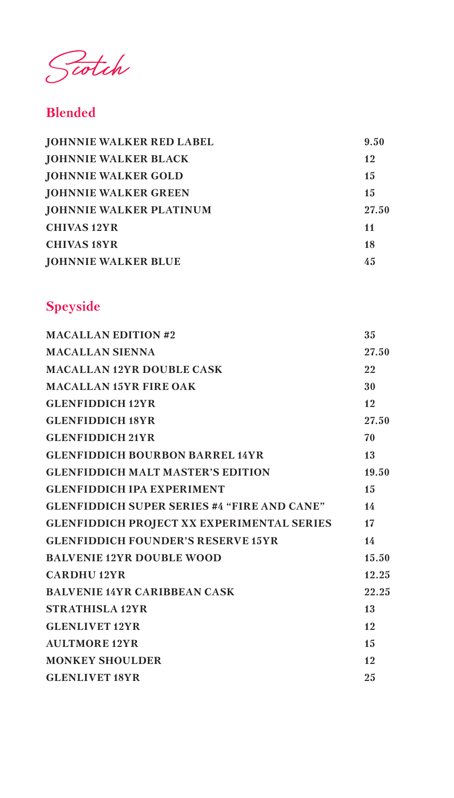Scotch

# **Blended**

| <b>JOHNNIE WALKER RED LABEL</b> | 9.50  |
|---------------------------------|-------|
| <b>JOHNNIE WALKER BLACK</b>     | 12    |
| <b>JOHNNIE WALKER GOLD</b>      | 15    |
| <b>JOHNNIE WALKER GREEN</b>     | 15    |
| <b>JOHNNIE WALKER PLATINUM</b>  | 27.50 |
| <b>CHIVAS 12YR</b>              | 11    |
| <b>CHIVAS 18YR</b>              | 18    |
| <b>JOHNNIE WALKER BLUE</b>      | 45    |

### **Speyside**

| <b>MACALLAN EDITION #2</b>                         | 35    |
|----------------------------------------------------|-------|
| <b>MACALLAN SIENNA</b>                             | 27.50 |
| <b>MACALLAN 12YR DOUBLE CASK</b>                   | 22    |
| <b>MACALLAN 15YR FIRE OAK</b>                      | 30    |
| <b>GLENFIDDICH 12YR</b>                            | 12    |
| <b>GLENFIDDICH 18YR</b>                            | 27.50 |
| <b>GLENFIDDICH 21YR</b>                            | 70    |
| <b>GLENFIDDICH BOURBON BARREL 14YR</b>             | 13    |
| <b>GLENFIDDICH MALT MASTER'S EDITION</b>           | 19.50 |
| <b>GLENFIDDICH IPA EXPERIMENT</b>                  | 15    |
| <b>GLENFIDDICH SUPER SERIES #4 "FIRE AND CANE"</b> | 14    |
| <b>GLENFIDDICH PROJECT XX EXPERIMENTAL SERIES</b>  | 17    |
| <b>GLENFIDDICH FOUNDER'S RESERVE 15YR</b>          | 14    |
| <b>BALVENIE 12YR DOUBLE WOOD</b>                   | 15.50 |
| <b>CARDHU12YR</b>                                  | 12.25 |
| <b>BALVENIE 14YR CARIBBEAN CASK</b>                | 22.25 |
| <b>STRATHISLA 12YR</b>                             | 13    |
| <b>GLENLIVET 12YR</b>                              | 12    |
| <b>AULTMORE 12YR</b>                               | 15    |
| <b>MONKEY SHOULDER</b>                             | 12    |
| <b>GLENLIVET 18YR</b>                              | 25    |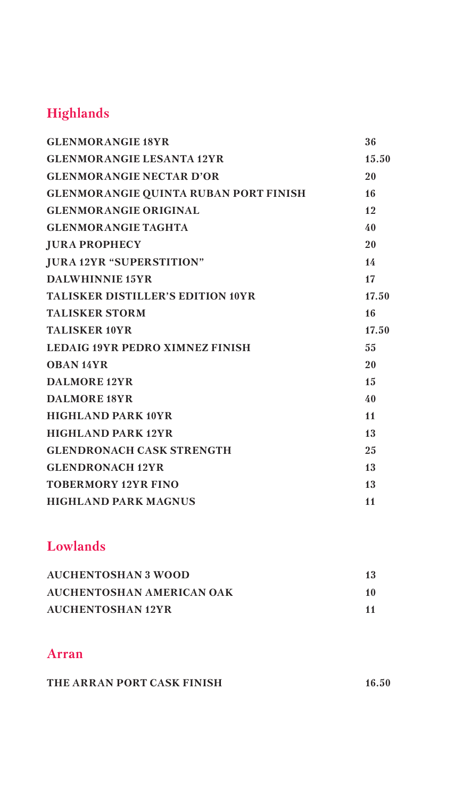# **Highlands**

| <b>GLENMORANGIE 18YR</b>                     | 36    |
|----------------------------------------------|-------|
| <b>GLENMORANGIE LESANTA 12YR</b>             | 15.50 |
| <b>GLENMORANGIE NECTAR D'OR</b>              | 20    |
| <b>GLENMORANGIE QUINTA RUBAN PORT FINISH</b> | 16    |
| <b>GLENMORANGIE ORIGINAL</b>                 | 12    |
| <b>GLENMORANGIE TAGHTA</b>                   | 40    |
| <b>JURA PROPHECY</b>                         | 20    |
| <b>JURA 12YR "SUPERSTITION"</b>              | 14    |
| <b>DALWHINNIE 15YR</b>                       | 17    |
| <b>TALISKER DISTILLER'S EDITION 10YR</b>     | 17.50 |
| <b>TALISKER STORM</b>                        | 16    |
| <b>TALISKER 10YR</b>                         | 17.50 |
| <b>LEDAIG 19YR PEDRO XIMNEZ FINISH</b>       | 55    |
| <b>OBAN 14YR</b>                             | 20    |
| <b>DALMORE 12YR</b>                          | 15    |
| <b>DALMORE 18YR</b>                          | 40    |
| <b>HIGHLAND PARK 10YR</b>                    | 11    |
| <b>HIGHLAND PARK 12YR</b>                    | 13    |
| <b>GLENDRONACH CASK STRENGTH</b>             | 25    |
| <b>GLENDRONACH 12YR</b>                      | 13    |
| <b>TOBERMORY 12YR FINO</b>                   | 13    |
| <b>HIGHLAND PARK MAGNUS</b>                  | 11    |

## **Lowlands**

| <b>AUCHENTOSHAN 3 WOOD</b>       | 13 |
|----------------------------------|----|
| <b>AUCHENTOSHAN AMERICAN OAK</b> | 10 |
| <b>AUCHENTOSHAN 12YR</b>         |    |

#### **Arran**

| THE ARRAN PORT CASK FINISH |  |
|----------------------------|--|
|                            |  |